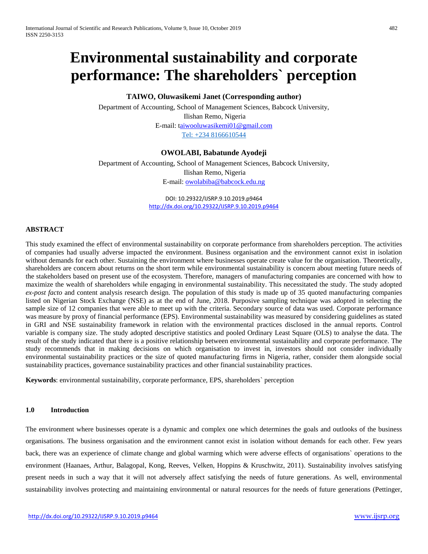# **Environmental sustainability and corporate performance: The shareholders` perception**

## **TAIWO, Oluwasikemi Janet (Corresponding author)**

Department of Accounting, School of Management Sciences, Babcock University, Ilishan Remo, Nigeria E-mail: [taiwooluwasikemi01@gmail.com](mailto:aiwooluwasikemi01@gmail.com) Tel: +234 8166610544

## **OWOLABI, Babatunde Ayodeji**

Department of Accounting, School of Management Sciences, Babcock University, Ilishan Remo, Nigeria E-mail: [owolabiba@babcock.edu.ng](mailto:owolabiba@babcock.edu.ng)

> DOI: 10.29322/IJSRP.9.10.2019.p9464 <http://dx.doi.org/10.29322/IJSRP.9.10.2019.p9464>

## **ABSTRACT**

This study examined the effect of environmental sustainability on corporate performance from shareholders perception. The activities of companies had usually adverse impacted the environment. Business organisation and the environment cannot exist in isolation without demands for each other. Sustaining the environment where businesses operate create value for the organisation. Theoretically, shareholders are concern about returns on the short term while environmental sustainability is concern about meeting future needs of the stakeholders based on present use of the ecosystem. Therefore, managers of manufacturing companies are concerned with how to maximize the wealth of shareholders while engaging in environmental sustainability. This necessitated the study. The study adopted *ex-post facto* and content analysis research design. The population of this study is made up of 35 quoted manufacturing companies listed on Nigerian Stock Exchange (NSE) as at the end of June, 2018. Purposive sampling technique was adopted in selecting the sample size of 12 companies that were able to meet up with the criteria. Secondary source of data was used. Corporate performance was measure by proxy of financial performance (EPS). Environmental sustainability was measured by considering guidelines as stated in GRI and NSE sustainability framework in relation with the environmental practices disclosed in the annual reports. Control variable is company size. The study adopted descriptive statistics and pooled Ordinary Least Square (OLS) to analyse the data. The result of the study indicated that there is a positive relationship between environmental sustainability and corporate performance. The study recommends that in making decisions on which organisation to invest in, investors should not consider individually environmental sustainability practices or the size of quoted manufacturing firms in Nigeria, rather, consider them alongside social sustainability practices, governance sustainability practices and other financial sustainability practices.

**Keywords**: environmental sustainability, corporate performance, EPS, shareholders` perception

#### **1.0 Introduction**

The environment where businesses operate is a dynamic and complex one which determines the goals and outlooks of the business organisations. The business organisation and the environment cannot exist in isolation without demands for each other. Few years back, there was an experience of climate change and global warming which were adverse effects of organisations` operations to the environment (Haanaes, Arthur, Balagopal, Kong, Reeves, Velken, Hoppins & Kruschwitz, 2011). Sustainability involves satisfying present needs in such a way that it will not adversely affect satisfying the needs of future generations. As well, environmental sustainability involves protecting and maintaining environmental or natural resources for the needs of future generations (Pettinger,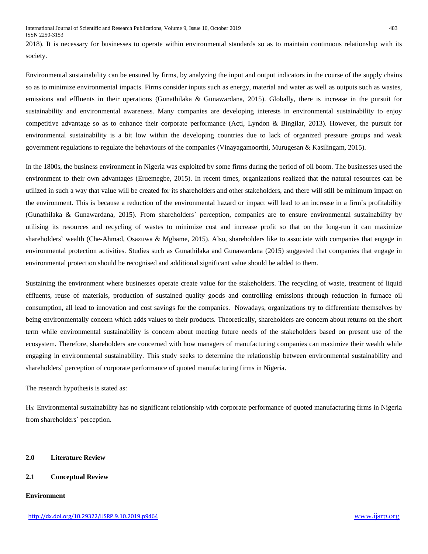2018). It is necessary for businesses to operate within environmental standards so as to maintain continuous relationship with its society.

Environmental sustainability can be ensured by firms, by analyzing the input and output indicators in the course of the supply chains so as to minimize environmental impacts. Firms consider inputs such as energy, material and water as well as outputs such as wastes, emissions and effluents in their operations (Gunathilaka & Gunawardana, 2015). Globally, there is increase in the pursuit for sustainability and environmental awareness. Many companies are developing interests in environmental sustainability to enjoy competitive advantage so as to enhance their corporate performance (Acti, Lyndon & Bingilar, 2013). However, the pursuit for environmental sustainability is a bit low within the developing countries due to lack of organized pressure groups and weak government regulations to regulate the behaviours of the companies (Vinayagamoorthi, Murugesan & Kasilingam, 2015).

In the 1800s, the business environment in Nigeria was exploited by some firms during the period of oil boom. The businesses used the environment to their own advantages (Eruemegbe, 2015). In recent times, organizations realized that the natural resources can be utilized in such a way that value will be created for its shareholders and other stakeholders, and there will still be minimum impact on the environment. This is because a reduction of the environmental hazard or impact will lead to an increase in a firm`s profitability (Gunathilaka & Gunawardana, 2015). From shareholders` perception, companies are to ensure environmental sustainability by utilising its resources and recycling of wastes to minimize cost and increase profit so that on the long-run it can maximize shareholders` wealth (Che-Ahmad, Osazuwa & Mgbame, 2015). Also, shareholders like to associate with companies that engage in environmental protection activities. Studies such as Gunathilaka and Gunawardana (2015) suggested that companies that engage in environmental protection should be recognised and additional significant value should be added to them.

Sustaining the environment where businesses operate create value for the stakeholders. The recycling of waste, treatment of liquid effluents, reuse of materials, production of sustained quality goods and controlling emissions through reduction in furnace oil consumption, all lead to innovation and cost savings for the companies. Nowadays, organizations try to differentiate themselves by being environmentally concern which adds values to their products. Theoretically, shareholders are concern about returns on the short term while environmental sustainability is concern about meeting future needs of the stakeholders based on present use of the ecosystem. Therefore, shareholders are concerned with how managers of manufacturing companies can maximize their wealth while engaging in environmental sustainability. This study seeks to determine the relationship between environmental sustainability and shareholders` perception of corporate performance of quoted manufacturing firms in Nigeria.

The research hypothesis is stated as:

H0: Environmental sustainability has no significant relationship with corporate performance of quoted manufacturing firms in Nigeria from shareholders` perception.

## **2.0 Literature Review**

## **2.1 Conceptual Review**

## **Environment**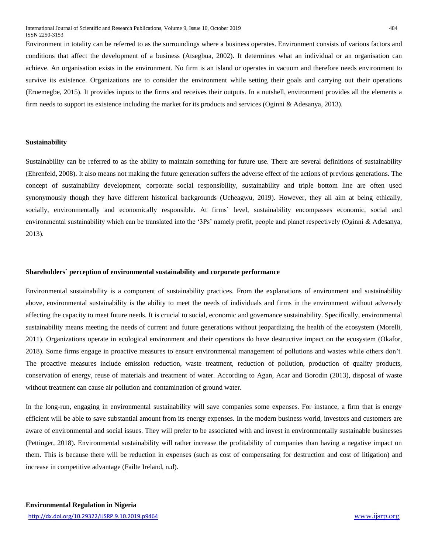Environment in totality can be referred to as the surroundings where a business operates. Environment consists of various factors and conditions that affect the development of a business (Atsegbua, 2002). It determines what an individual or an organisation can achieve. An organisation exists in the environment. No firm is an island or operates in vacuum and therefore needs environment to survive its existence. Organizations are to consider the environment while setting their goals and carrying out their operations (Eruemegbe, 2015). It provides inputs to the firms and receives their outputs. In a nutshell, environment provides all the elements a firm needs to support its existence including the market for its products and services (Oginni & Adesanya, 2013).

#### **Sustainability**

Sustainability can be referred to as the ability to maintain something for future use. There are several definitions of sustainability (Ehrenfeld, 2008). It also means not making the future generation suffers the adverse effect of the actions of previous generations. The concept of sustainability development, corporate social responsibility, sustainability and triple bottom line are often used synonymously though they have different historical backgrounds (Ucheagwu, 2019). However, they all aim at being ethically, socially, environmentally and economically responsible. At firms` level, sustainability encompasses economic, social and environmental sustainability which can be translated into the '3Ps' namely profit, people and planet respectively (Oginni & Adesanya, 2013).

#### **Shareholders` perception of environmental sustainability and corporate performance**

Environmental sustainability is a component of sustainability practices. From the explanations of environment and sustainability above, environmental sustainability is the ability to meet the needs of individuals and firms in the environment without adversely affecting the capacity to meet future needs. It is crucial to social, economic and governance sustainability. Specifically, environmental sustainability means meeting the needs of current and future generations without jeopardizing the health of the ecosystem (Morelli, 2011). Organizations operate in ecological environment and their operations do have destructive impact on the ecosystem (Okafor, 2018). Some firms engage in proactive measures to ensure environmental management of pollutions and wastes while others don't. The proactive measures include emission reduction, waste treatment, reduction of pollution, production of quality products, conservation of energy, reuse of materials and treatment of water. According to Agan, Acar and Borodin (2013), disposal of waste without treatment can cause air pollution and contamination of ground water.

In the long-run, engaging in environmental sustainability will save companies some expenses. For instance, a firm that is energy efficient will be able to save substantial amount from its energy expenses. In the modern business world, investors and customers are aware of environmental and social issues. They will prefer to be associated with and invest in environmentally sustainable businesses (Pettinger, 2018). Environmental sustainability will rather increase the profitability of companies than having a negative impact on them. This is because there will be reduction in expenses (such as cost of compensating for destruction and cost of litigation) and increase in competitive advantage (Failte Ireland, n.d).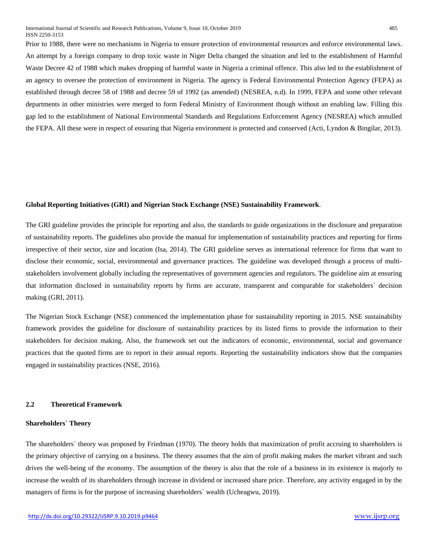Prior to 1988, there were no mechanisms in Nigeria to ensure protection of environmental resources and enforce environmental laws. An attempt by a foreign company to drop toxic waste in Niger Delta changed the situation and led to the establishment of Harmful Waste Decree 42 of 1988 which makes dropping of harmful waste in Nigeria a criminal offence. This also led to the establishment of an agency to oversee the protection of environment in Nigeria. The agency is Federal Environmental Protection Agency (FEPA) as established through decree 58 of 1988 and decree 59 of 1992 (as amended) (NESREA, n.d). In 1999, FEPA and some other relevant departments in other ministries were merged to form Federal Ministry of Environment though without an enabling law. Filling this gap led to the establishment of National Environmental Standards and Regulations Enforcement Agency (NESREA) which annulled the FEPA. All these were in respect of ensuring that Nigeria environment is protected and conserved (Acti, Lyndon & Bingilar, 2013).

#### **Global Reporting Initiatives (GRI) and Nigerian Stock Exchange (NSE) Sustainability Framework**.

The GRI guideline provides the principle for reporting and also, the standards to guide organizations in the disclosure and preparation of sustainability reports. The guidelines also provide the manual for implementation of sustainability practices and reporting for firms irrespective of their sector, size and location (Isa, 2014). The GRI guideline serves as international reference for firms that want to disclose their economic, social, environmental and governance practices. The guideline was developed through a process of multistakeholders involvement globally including the representatives of government agencies and regulators. The guideline aim at ensuring that information disclosed in sustainability reports by firms are accurate, transparent and comparable for stakeholders` decision making (GRI, 2011).

The Nigerian Stock Exchange (NSE) commenced the implementation phase for sustainability reporting in 2015. NSE sustainability framework provides the guideline for disclosure of sustainability practices by its listed firms to provide the information to their stakeholders for decision making. Also, the framework set out the indicators of economic, environmental, social and governance practices that the quoted firms are to report in their annual reports. Reporting the sustainability indicators show that the companies engaged in sustainability practices (NSE, 2016).

#### **2.2 Theoretical Framework**

#### **Shareholders` Theory**

The shareholders` theory was proposed by Friedman (1970). The theory holds that maximization of profit accruing to shareholders is the primary objective of carrying on a business. The theory assumes that the aim of profit making makes the market vibrant and such drives the well-being of the economy. The assumption of the theory is also that the role of a business in its existence is majorly to increase the wealth of its shareholders through increase in dividend or increased share price. Therefore, any activity engaged in by the managers of firms is for the purpose of increasing shareholders` wealth (Ucheagwu, 2019).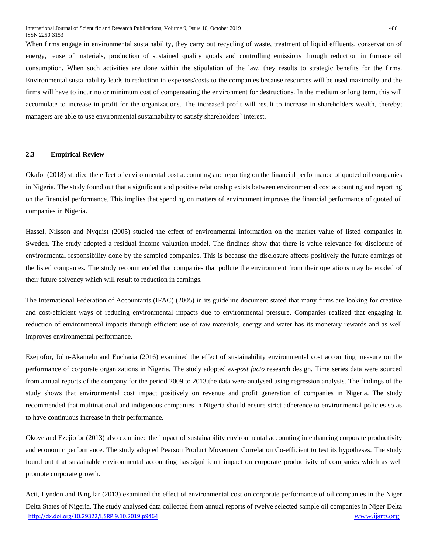When firms engage in environmental sustainability, they carry out recycling of waste, treatment of liquid effluents, conservation of energy, reuse of materials, production of sustained quality goods and controlling emissions through reduction in furnace oil consumption. When such activities are done within the stipulation of the law, they results to strategic benefits for the firms. Environmental sustainability leads to reduction in expenses/costs to the companies because resources will be used maximally and the firms will have to incur no or minimum cost of compensating the environment for destructions. In the medium or long term, this will accumulate to increase in profit for the organizations. The increased profit will result to increase in shareholders wealth, thereby; managers are able to use environmental sustainability to satisfy shareholders` interest.

## **2.3 Empirical Review**

Okafor (2018) studied the effect of environmental cost accounting and reporting on the financial performance of quoted oil companies in Nigeria. The study found out that a significant and positive relationship exists between environmental cost accounting and reporting on the financial performance. This implies that spending on matters of environment improves the financial performance of quoted oil companies in Nigeria.

Hassel, Nilsson and Nyquist (2005) studied the effect of environmental information on the market value of listed companies in Sweden. The study adopted a residual income valuation model. The findings show that there is value relevance for disclosure of environmental responsibility done by the sampled companies. This is because the disclosure affects positively the future earnings of the listed companies. The study recommended that companies that pollute the environment from their operations may be eroded of their future solvency which will result to reduction in earnings.

The International Federation of Accountants (IFAC) (2005) in its guideline document stated that many firms are looking for creative and cost-efficient ways of reducing environmental impacts due to environmental pressure. Companies realized that engaging in reduction of environmental impacts through efficient use of raw materials, energy and water has its monetary rewards and as well improves environmental performance.

Ezejiofor, John-Akamelu and Eucharia (2016) examined the effect of sustainability environmental cost accounting measure on the performance of corporate organizations in Nigeria. The study adopted *ex-post facto* research design. Time series data were sourced from annual reports of the company for the period 2009 to 2013.the data were analysed using regression analysis. The findings of the study shows that environmental cost impact positively on revenue and profit generation of companies in Nigeria. The study recommended that multinational and indigenous companies in Nigeria should ensure strict adherence to environmental policies so as to have continuous increase in their performance.

Okoye and Ezejiofor (2013) also examined the impact of sustainability environmental accounting in enhancing corporate productivity and economic performance. The study adopted Pearson Product Movement Correlation Co-efficient to test its hypotheses. The study found out that sustainable environmental accounting has significant impact on corporate productivity of companies which as well promote corporate growth.

<http://dx.doi.org/10.29322/IJSRP.9.10.2019.p9464> [www.ijsrp.org](http://ijsrp.org/) Acti, Lyndon and Bingilar (2013) examined the effect of environmental cost on corporate performance of oil companies in the Niger Delta States of Nigeria. The study analysed data collected from annual reports of twelve selected sample oil companies in Niger Delta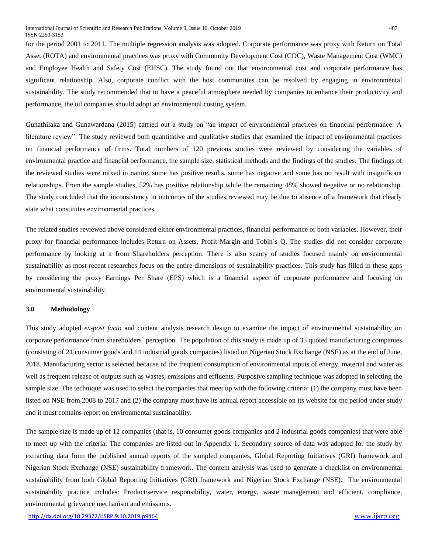for the period 2001 to 2011. The multiple regression analysis was adopted. Corporate performance was proxy with Return on Total Asset (ROTA) and environmental practices was proxy with Community Development Cost (CDC), Waste Management Cost (WMC) and Employee Health and Safety Cost (EHSC). The study found out that environmental cost and corporate performance has significant relationship. Also, corporate conflict with the host communities can be resolved by engaging in environmental sustainability. The study recommended that to have a peaceful atmosphere needed by companies to enhance their productivity and performance, the oil companies should adopt an environmental costing system.

Gunathilaka and Gunawardana (2015) carried out a study on "an impact of environmental practices on financial performance: A literature review". The study reviewed both quantitative and qualitative studies that examined the impact of environmental practices on financial performance of firms. Total numbers of 120 previous studies were reviewed by considering the variables of environmental practice and financial performance, the sample size, statistical methods and the findings of the studies. The findings of the reviewed studies were mixed in nature, some has positive results, some has negative and some has no result with insignificant relationships. From the sample studies, 52% has positive relationship while the remaining 48% showed negative or no relationship. The study concluded that the inconsistency in outcomes of the studies reviewed may be due to absence of a framework that clearly state what constitutes environmental practices.

The related studies reviewed above considered either environmental practices, financial performance or both variables. However, their proxy for financial performance includes Return on Assets, Profit Margin and Tobin`s Q. The studies did not consider corporate performance by looking at it from Shareholders perception. There is also scanty of studies focused mainly on environmental sustainability as most recent researches focus on the entire dimensions of sustainability practices. This study has filled in these gaps by considering the proxy Earnings Per Share (EPS) which is a financial aspect of corporate performance and focusing on environmental sustainability.

## **3.0 Methodology**

This study adopted *ex-post facto* and content analysis research design to examine the impact of environmental sustainability on corporate performance from shareholders` perception. The population of this study is made up of 35 quoted manufacturing companies (consisting of 21 consumer goods and 14 industrial goods companies) listed on Nigerian Stock Exchange (NSE) as at the end of June, 2018. Manufacturing sector is selected because of the frequent consumption of environmental inputs of energy, material and water as well as frequent release of outputs such as wastes, emissions and effluents. Purposive sampling technique was adopted in selecting the sample size. The technique was used to select the companies that meet up with the following criteria: (1) the company must have been listed on NSE from 2008 to 2017 and (2) the company must have its annual report accessible on its website for the period under study and it must contains report on environmental sustainability.

The sample size is made up of 12 companies (that is, 10 consumer goods companies and 2 industrial goods companies) that were able to meet up with the criteria. The companies are listed out in Appendix 1. Secondary source of data was adopted for the study by extracting data from the published annual reports of the sampled companies, Global Reporting Initiatives (GRI) framework and Nigerian Stock Exchange (NSE) sustainability framework. The content analysis was used to generate a checklist on environmental sustainability from both Global Reporting Initiatives (GRI) framework and Nigerian Stock Exchange (NSE). The environmental sustainability practice includes: Product/service responsibility, water, energy, waste management and efficient, compliance, environmental grievance mechanism and emissions.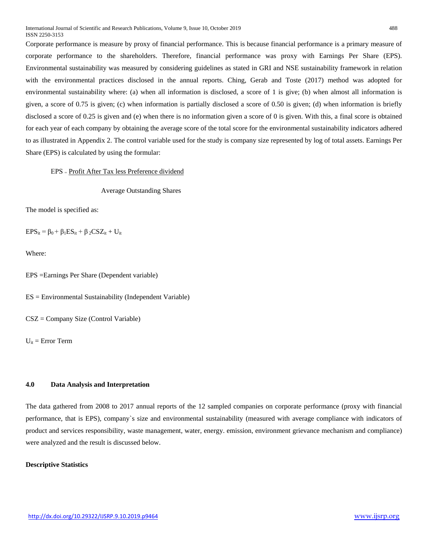Corporate performance is measure by proxy of financial performance. This is because financial performance is a primary measure of corporate performance to the shareholders. Therefore, financial performance was proxy with Earnings Per Share (EPS). Environmental sustainability was measured by considering guidelines as stated in GRI and NSE sustainability framework in relation with the environmental practices disclosed in the annual reports. Ching, Gerab and Toste (2017) method was adopted for environmental sustainability where: (a) when all information is disclosed, a score of 1 is give; (b) when almost all information is given, a score of 0.75 is given; (c) when information is partially disclosed a score of 0.50 is given; (d) when information is briefly disclosed a score of 0.25 is given and (e) when there is no information given a score of 0 is given. With this, a final score is obtained for each year of each company by obtaining the average score of the total score for the environmental sustainability indicators adhered to as illustrated in Appendix 2. The control variable used for the study is company size represented by log of total assets. Earnings Per Share (EPS) is calculated by using the formular:

## EPS ₌ Profit After Tax less Preference dividend

Average Outstanding Shares

The model is specified as:

 $EPS_{it} = \beta_0 + \beta_1 ES_{it} + \beta_2 CSS_{it} + U_{it}$ 

Where:

EPS =Earnings Per Share (Dependent variable)

ES = Environmental Sustainability (Independent Variable)

CSZ = Company Size (Control Variable)

 $U_{it}$  = Error Term

## **4.0 Data Analysis and Interpretation**

The data gathered from 2008 to 2017 annual reports of the 12 sampled companies on corporate performance (proxy with financial performance, that is EPS), company`s size and environmental sustainability (measured with average compliance with indicators of product and services responsibility, waste management, water, energy. emission, environment grievance mechanism and compliance) were analyzed and the result is discussed below.

## **Descriptive Statistics**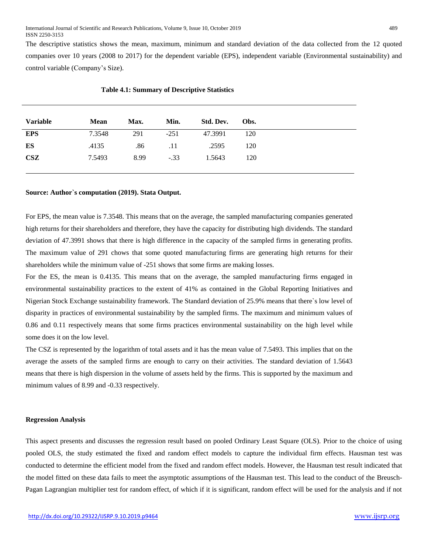The descriptive statistics shows the mean, maximum, minimum and standard deviation of the data collected from the 12 quoted companies over 10 years (2008 to 2017) for the dependent variable (EPS), independent variable (Environmental sustainability) and control variable (Company's Size).

| <b>EPS</b><br>7.3548<br>291<br>$-251$<br>120<br>47.3991<br>ES<br>.4135<br>.86<br>.2595<br>120<br>.11<br><b>CSZ</b><br>8.99<br>7.5493<br>$-.33$<br>1.5643<br>120 | <b>Variable</b> | <b>Mean</b> | Max. | Min. | Std. Dev. | Obs. |
|-----------------------------------------------------------------------------------------------------------------------------------------------------------------|-----------------|-------------|------|------|-----------|------|
|                                                                                                                                                                 |                 |             |      |      |           |      |
|                                                                                                                                                                 |                 |             |      |      |           |      |
|                                                                                                                                                                 |                 |             |      |      |           |      |

| <b>Table 4.1: Summary of Descriptive Statistics</b> |  |  |
|-----------------------------------------------------|--|--|
|-----------------------------------------------------|--|--|

#### **Source: Author`s computation (2019). Stata Output.**

For EPS, the mean value is 7.3548. This means that on the average, the sampled manufacturing companies generated high returns for their shareholders and therefore, they have the capacity for distributing high dividends. The standard deviation of 47.3991 shows that there is high difference in the capacity of the sampled firms in generating profits. The maximum value of 291 chows that some quoted manufacturing firms are generating high returns for their shareholders while the minimum value of -251 shows that some firms are making losses.

For the ES, the mean is 0.4135. This means that on the average, the sampled manufacturing firms engaged in environmental sustainability practices to the extent of 41% as contained in the Global Reporting Initiatives and Nigerian Stock Exchange sustainability framework. The Standard deviation of 25.9% means that there`s low level of disparity in practices of environmental sustainability by the sampled firms. The maximum and minimum values of 0.86 and 0.11 respectively means that some firms practices environmental sustainability on the high level while some does it on the low level.

The CSZ is represented by the logarithm of total assets and it has the mean value of 7.5493. This implies that on the average the assets of the sampled firms are enough to carry on their activities. The standard deviation of 1.5643 means that there is high dispersion in the volume of assets held by the firms. This is supported by the maximum and minimum values of 8.99 and -0.33 respectively.

#### **Regression Analysis**

This aspect presents and discusses the regression result based on pooled Ordinary Least Square (OLS). Prior to the choice of using pooled OLS, the study estimated the fixed and random effect models to capture the individual firm effects. Hausman test was conducted to determine the efficient model from the fixed and random effect models. However, the Hausman test result indicated that the model fitted on these data fails to meet the asymptotic assumptions of the Hausman test. This lead to the conduct of the Breusch-Pagan Lagrangian multiplier test for random effect, of which if it is significant, random effect will be used for the analysis and if not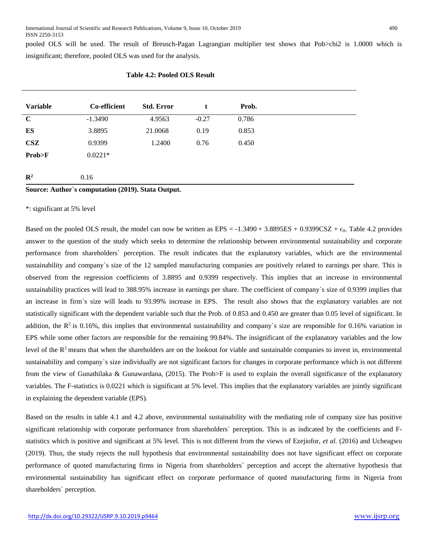pooled OLS will be used. The result of Breusch-Pagan Lagrangian multiplier test shows that Pob>chi2 is 1.0000 which is insignificant; therefore, pooled OLS was used for the analysis.

| <b>Variable</b> | Co-efficient                                       | <b>Std. Error</b> | t       | Prob. |
|-----------------|----------------------------------------------------|-------------------|---------|-------|
| $\mathbf C$     | $-1.3490$                                          | 4.9563            | $-0.27$ | 0.786 |
| ES              | 3.8895                                             | 21.0068           | 0.19    | 0.853 |
| CSZ             | 0.9399                                             | 1.2400            | 0.76    | 0.450 |
| Prob>F          | $0.0221*$                                          |                   |         |       |
| $\mathbb{R}^2$  | 0.16                                               |                   |         |       |
|                 | Source: Author's computation (2019). Stata Output. |                   |         |       |

#### **Table 4.2: Pooled OLS Result**

\*: significant at 5% level

Based on the pooled OLS result, the model can now be written as  $EPS = -1.3490 + 3.8895ES + 0.9399CSZ + \epsilon_{it}$ . Table 4.2 provides answer to the question of the study which seeks to determine the relationship between environmental sustainability and corporate performance from shareholders` perception. The result indicates that the explanatory variables, which are the environmental sustainability and company`s size of the 12 sampled manufacturing companies are positively related to earnings per share. This is observed from the regression coefficients of 3.8895 and 0.9399 respectively. This implies that an increase in environmental sustainability practices will lead to 388.95% increase in earnings per share. The coefficient of company`s size of 0.9399 implies that an increase in firm`s size will leads to 93.99% increase in EPS. The result also shows that the explanatory variables are not statistically significant with the dependent variable such that the Prob. of 0.853 and 0.450 are greater than 0.05 level of significant. In addition, the  $\mathbb{R}^2$  is 0.16%, this implies that environmental sustainability and company's size are responsible for 0.16% variation in EPS while some other factors are responsible for the remaining 99.84%. The insignificant of the explanatory variables and the low level of the  $R<sup>2</sup>$  means that when the shareholders are on the lookout for viable and sustainable companies to invest in, environmental sustainability and company`s size individually are not significant factors for changes in corporate performance which is not different from the view of Gunathilaka & Gunawardana, (2015). The Prob>F is used to explain the overall significance of the explanatory variables. The F-statistics is 0.0221 which is significant at 5% level. This implies that the explanatory variables are jointly significant in explaining the dependent variable (EPS).

Based on the results in table 4.1 and 4.2 above, environmental sustainability with the mediating role of company size has positive significant relationship with corporate performance from shareholders` perception. This is as indicated by the coefficients and Fstatistics which is positive and significant at 5% level. This is not different from the views of Ezejiofor, *et al.* (2016) and Ucheagwu (2019). Thus, the study rejects the null hypothesis that environmental sustainability does not have significant effect on corporate performance of quoted manufacturing firms in Nigeria from shareholders` perception and accept the alternative hypothesis that environmental sustainability has significant effect on corporate performance of quoted manufacturing firms in Nigeria from shareholders` perception.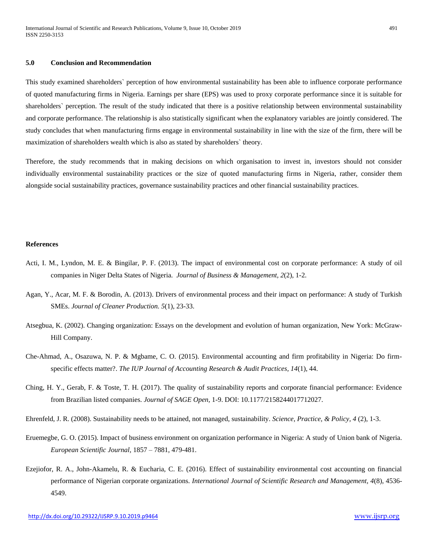## **5.0 Conclusion and Recommendation**

This study examined shareholders` perception of how environmental sustainability has been able to influence corporate performance of quoted manufacturing firms in Nigeria. Earnings per share (EPS) was used to proxy corporate performance since it is suitable for shareholders` perception. The result of the study indicated that there is a positive relationship between environmental sustainability and corporate performance. The relationship is also statistically significant when the explanatory variables are jointly considered. The study concludes that when manufacturing firms engage in environmental sustainability in line with the size of the firm, there will be maximization of shareholders wealth which is also as stated by shareholders` theory.

Therefore, the study recommends that in making decisions on which organisation to invest in, investors should not consider individually environmental sustainability practices or the size of quoted manufacturing firms in Nigeria, rather, consider them alongside social sustainability practices, governance sustainability practices and other financial sustainability practices.

#### **References**

- Acti, I. M., Lyndon, M. E. & Bingilar, P. F. (2013). The impact of environmental cost on corporate performance: A study of oil companies in Niger Delta States of Nigeria. *Journal of Business & Management, 2*(2), 1-2.
- Agan, Y., Acar, M. F. & Borodin, A. (2013). Drivers of environmental process and their impact on performance: A study of Turkish SMEs. *Journal of Cleaner Production. 5*(1), 23-33.
- Atsegbua, K. (2002). Changing organization: Essays on the development and evolution of human organization, New York: McGraw-Hill Company.
- Che-Ahmad, A., Osazuwa, N. P. & Mgbame, C. O. (2015). Environmental accounting and firm profitability in Nigeria: Do firmspecific effects matter?. *The IUP Journal of Accounting Research & Audit Practices, 14*(1), 44.
- Ching, H. Y., Gerab, F. & Toste, T. H. (2017). The quality of sustainability reports and corporate financial performance: Evidence from Brazilian listed companies. *Journal of SAGE Open,* 1-9. DOI: 10.1177/2158244017712027.
- Ehrenfeld, J. R. (2008). Sustainability needs to be attained, not managed, sustainability. *Science, Practice, & Policy, 4* (2), 1-3.
- Eruemegbe, G. O. (2015). Impact of business environment on organization performance in Nigeria: A study of Union bank of Nigeria. *European Scientific Journal,* 1857 – 7881, 479-481.
- Ezejiofor, R. A., John-Akamelu, R. & Eucharia, C. E. (2016). Effect of sustainability environmental cost accounting on financial performance of Nigerian corporate organizations. *International Journal of Scientific Research and Management, 4*(8), 4536- 4549.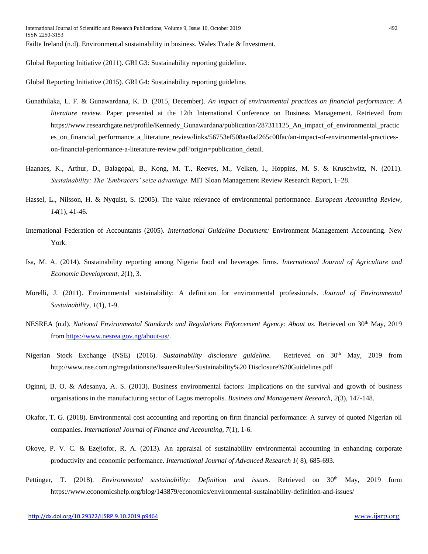Global Reporting Initiative (2011). GRI G3: Sustainability reporting guideline.

Global Reporting Initiative (2015). GRI G4: Sustainability reporting guideline.

- Gunathilaka, L. F. & Gunawardana, K. D. (2015, December). *An impact of environmental practices on financial performance: A literature review.* Paper presented at the 12th International Conference on Business Management. Retrieved from https://www.researchgate.net/profile/Kennedy Gunawardana/publication/287311125 An impact of environmental practic es on financial performance a literature review/links/56753ef508ae0ad265c00fac/an-impact-of-environmental-practiceson-financial-performance-a-literature-review.pdf?origin=publication\_detail.
- Haanaes, K., Arthur, D., Balagopal, B., Kong, M. T., Reeves, M., Velken, I., Hoppins, M. S. & Kruschwitz, N. (2011). *Sustainability: The 'Embracers' seize advantage*. MIT Sloan Management Review Research Report, 1–28.
- Hassel, L., Nilsson, H. & Nyquist, S. (2005). The value relevance of environmental performance. *European Accounting Review, 14*(1), 41-46.
- International Federation of Accountants (2005). *International Guideline Document:* Environment Management Accounting. New York.
- Isa, M. A. (2014). Sustainability reporting among Nigeria food and beverages firms. *International Journal of Agriculture and Economic Development, 2*(1), 3.
- Morelli, J. (2011). Environmental sustainability: A definition for environmental professionals. *Journal of Environmental Sustainability, 1*(1), 1-9.
- NESREA (n.d). *National Environmental Standards and Regulations Enforcement Agency: About us. Retrieved on* 30<sup>th</sup> May, 2019 fro[m https://www.nesrea.gov.ng/about-us/.](https://www.nesrea.gov.ng/about-us/)
- Nigerian Stock Exchange (NSE) (2016). *Sustainability disclosure guideline*. Retrieved on 30<sup>th</sup> May, 2019 from http://www.nse.com.ng/regulationsite/IssuersRules/Sustainability%20 Disclosure%20Guidelines.pdf
- Oginni, B. O. & Adesanya, A. S. (2013). Business environmental factors: Implications on the survival and growth of business organisations in the manufacturing sector of Lagos metropolis. *Business and Management Research, 2*(3), 147-148.
- Okafor, T. G. (2018). Environmental cost accounting and reporting on firm financial performance: A survey of quoted Nigerian oil companies. *International Journal of Finance and Accounting, 7*(1), 1-6.
- Okoye, P. V. C. & Ezejiofor, R. A. (2013). An appraisal of sustainability environmental accounting in enhancing corporate productivity and economic performance. *International Journal of Advanced Research 1*( 8), 685-693.
- Pettinger, T. (2018). *Environmental sustainability: Definition and issues*. Retrieved on 30<sup>th</sup> May, 2019 form <https://www.economicshelp.org/blog/143879/economics/environmental-sustainability-definition-and-issues/>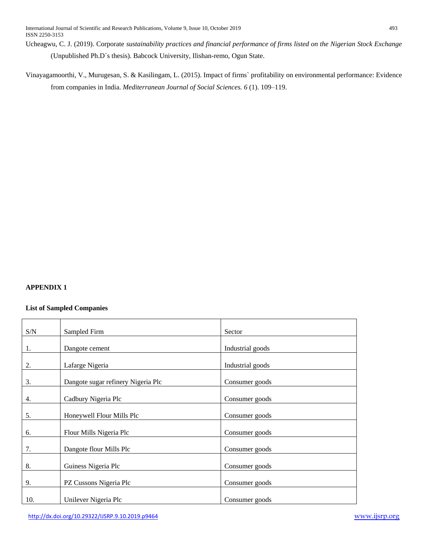Ucheagwu, C. J. (2019). Corporate *sustainability practices and financial performance of firms listed on the Nigerian Stock Exchange* (Unpublished Ph.D`s thesis). Babcock University, Ilishan-remo, Ogun State.

Vinayagamoorthi, V., Murugesan, S. & Kasilingam, L. (2015). Impact of firms` profitability on environmental performance: Evidence from companies in India. *Mediterranean Journal of Social Sciences. 6* (1). 109–119.

## **APPENDIX 1**

## **List of Sampled Companies**

| S/N | Sampled Firm                       | Sector           |
|-----|------------------------------------|------------------|
|     |                                    |                  |
| 1.  | Dangote cement                     | Industrial goods |
|     |                                    |                  |
| 2.  | Lafarge Nigeria                    | Industrial goods |
| 3.  | Dangote sugar refinery Nigeria Plc | Consumer goods   |
| 4.  | Cadbury Nigeria Plc                | Consumer goods   |
|     |                                    |                  |
| 5.  | Honeywell Flour Mills Plc          | Consumer goods   |
| 6.  | Flour Mills Nigeria Plc            | Consumer goods   |
| 7.  | Dangote flour Mills Plc            | Consumer goods   |
| 8.  | Guiness Nigeria Plc                | Consumer goods   |
| 9.  | PZ Cussons Nigeria Plc             | Consumer goods   |
|     |                                    |                  |
| 10. | Unilever Nigeria Plc               | Consumer goods   |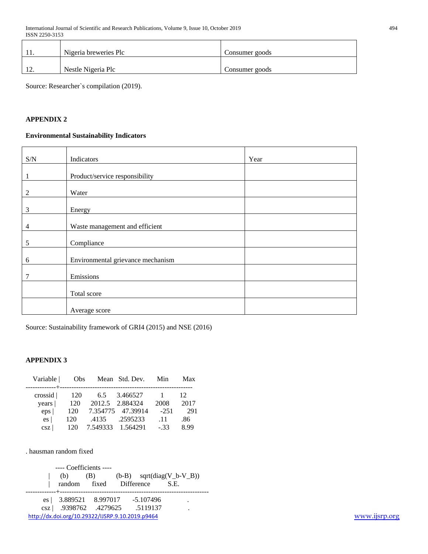|   | Nigeria breweries Plc | Consumer goods |
|---|-----------------------|----------------|
| . | Nestle Nigeria Plc    | Consumer goods |

Source: Researcher`s compilation (2019).

## **APPENDIX 2**

## **Environmental Sustainability Indicators**

| $\ensuremath{\mathrm{S/N}}$ | Indicators                        | Year |
|-----------------------------|-----------------------------------|------|
|                             |                                   |      |
| 1                           | Product/service responsibility    |      |
| $\overline{2}$              | Water                             |      |
| 3                           | Energy                            |      |
| 4                           | Waste management and efficient    |      |
| 5                           | Compliance                        |      |
| 6                           | Environmental grievance mechanism |      |
| 7                           | Emissions                         |      |
|                             | Total score                       |      |
|                             | Average score                     |      |

Source: Sustainability framework of GRI4 (2015) and NSE (2016)

## **APPENDIX 3**

| Variable   | Obs. |                   | Mean Std. Dev.    | Min    | Max  |
|------------|------|-------------------|-------------------|--------|------|
| crossid    | 120  | 6.5               | 3.466527          |        | 12   |
| years      | 120  |                   | 2012.5 2.884324   | 2008   | 2017 |
| $eps \mid$ | 120  |                   | 7.354775 47.39914 | $-251$ | 291  |
| es         | 120  | .4135             | .2595233          | .11    | .86  |
| csz        | 120  | 7.549333 1.564291 |                   | $-.33$ | 8.99 |

. hausman random fixed

<http://dx.doi.org/10.29322/IJSRP.9.10.2019.p9464> [www.ijsrp.org](http://ijsrp.org/) ---- Coefficients ----  $|$  (b) (B) (b-B) sqrt(diag(V\_b-V\_B)) | random fixed Difference S.E. -------------+--------------------------------------------------------------- es | 3.889521 8.997017 -5.107496 . csz | .9398762 .4279625 .5119137 .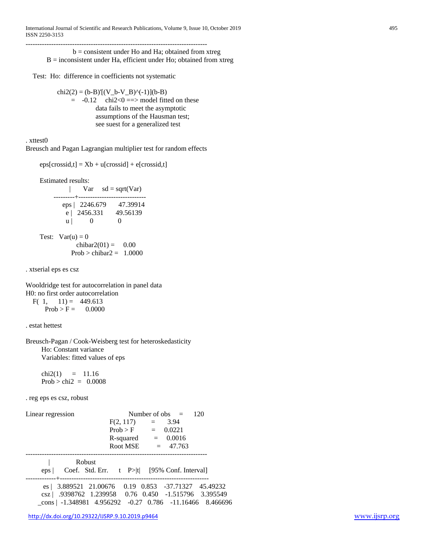------------------------------------------------------------------------------

 $b =$  consistent under Ho and Ha; obtained from xtreg  $B =$  inconsistent under Ha, efficient under Ho; obtained from xtreg

Test: Ho: difference in coefficients not systematic

 $chi2(2) = (b-B) [ (V_b-V_B)^(-1)] (b-B)$  $= -0.12$  chi2<0 = > model fitted on these data fails to meet the asymptotic assumptions of the Hausman test; see suest for a generalized test

. xttest0

Breusch and Pagan Lagrangian multiplier test for random effects

```
eps[crossid,t] = Xb + u[crossid] + e[crossid,t]
```
Estimated results:

|                    |                                  | $Var$ sd = sqrt(Var) |
|--------------------|----------------------------------|----------------------|
|                    | eps   2246.679<br>$e$   2456.331 | 47.39914<br>49.56139 |
| u l                |                                  | 0                    |
| Test: $Var(u) = 0$ |                                  | chibar2(01) = $0.00$ |

$$
Prob > \text{chibar2} = 1.0000
$$

. xtserial eps es csz

Wooldridge test for autocorrelation in panel data H0: no first order autocorrelation F( 1,  $11$ ) = 449.613

 $Prob > F = 0.0000$ 

. estat hettest

Breusch-Pagan / Cook-Weisberg test for heteroskedasticity Ho: Constant variance Variables: fitted values of eps

 $chi2(1) = 11.16$  $Prob > chi2 = 0.0008$ 

. reg eps es csz, robust

| Linear regression                                                 | Number of obs $=$ 120 |                                                 |  |  |
|-------------------------------------------------------------------|-----------------------|-------------------------------------------------|--|--|
|                                                                   | $F(2, 117) = 3.94$    |                                                 |  |  |
|                                                                   | $Prob > F$ = 0.0221   |                                                 |  |  |
|                                                                   |                       | $R$ -squared $= 0.0016$                         |  |  |
|                                                                   |                       | Root MSE $= 47.763$                             |  |  |
|                                                                   |                       |                                                 |  |  |
| Robust                                                            |                       |                                                 |  |  |
| eps <sub>1</sub>                                                  |                       | Coef. Std. Err. $t$ P> t  [95% Conf. Interval]  |  |  |
|                                                                   |                       |                                                 |  |  |
| es   3.889521 21.00676 0.19 0.853 -37.71327 45.49232              |                       |                                                 |  |  |
| csz                                                               |                       | .9398762 1.239958 0.76 0.450 -1.515796 3.395549 |  |  |
| $\text{cons}$   -1.348981 4.956292 -0.27 0.786 -11.16466 8.466696 |                       |                                                 |  |  |